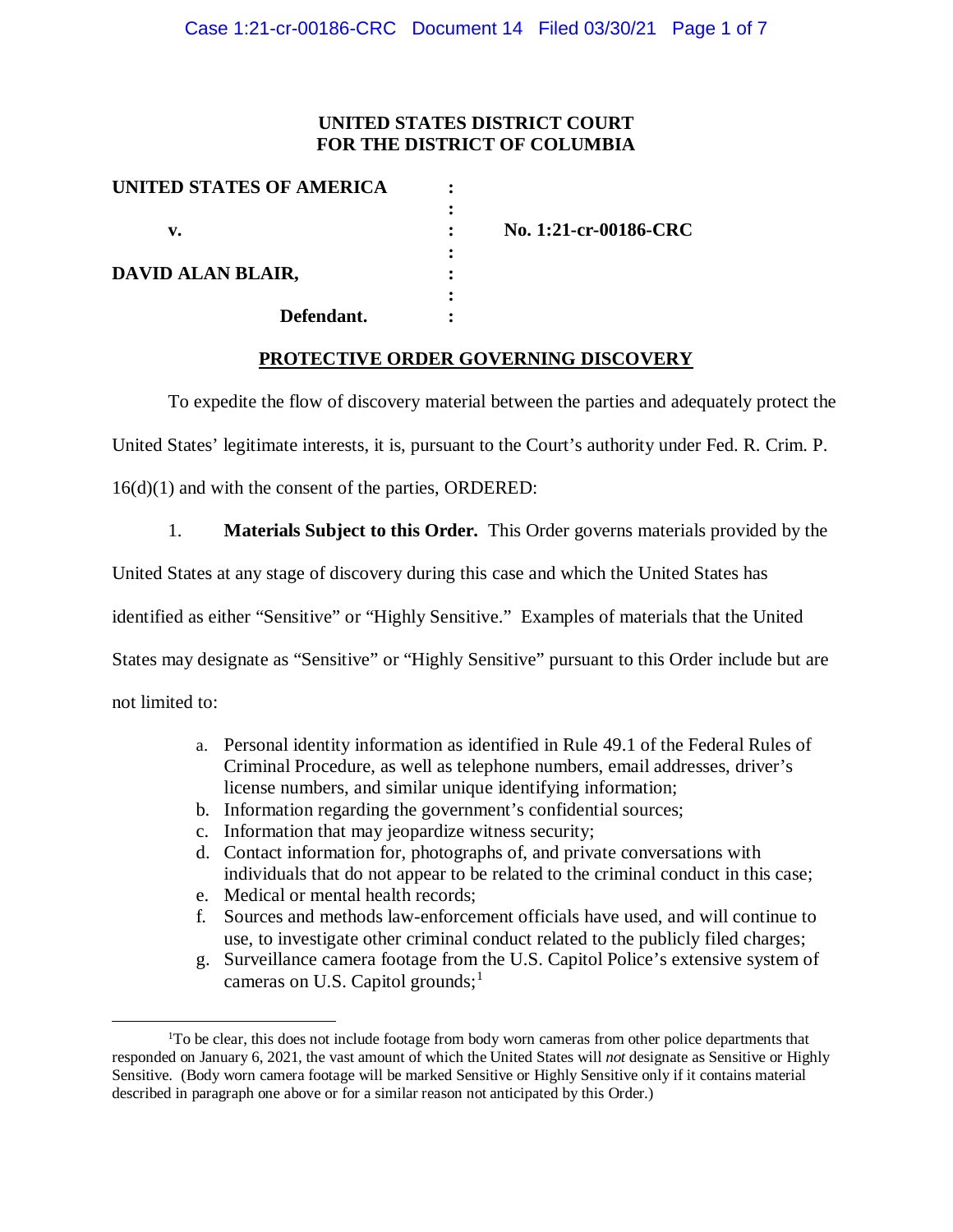## **UNITED STATES DISTRICT COURT FOR THE DISTRICT OF COLUMBIA**

| No. 1:21-cr-00186-CRC |
|-----------------------|
|                       |
|                       |
|                       |
|                       |
|                       |

## **PROTECTIVE ORDER GOVERNING DISCOVERY**

To expedite the flow of discovery material between the parties and adequately protect the

United States' legitimate interests, it is, pursuant to the Court's authority under Fed. R. Crim. P.

16(d)(1) and with the consent of the parties, ORDERED:

1. **Materials Subject to this Order.** This Order governs materials provided by the

United States at any stage of discovery during this case and which the United States has

identified as either "Sensitive" or "Highly Sensitive." Examples of materials that the United

States may designate as "Sensitive" or "Highly Sensitive" pursuant to this Order include but are

not limited to:

- a. Personal identity information as identified in Rule 49.1 of the Federal Rules of Criminal Procedure, as well as telephone numbers, email addresses, driver's license numbers, and similar unique identifying information;
- b. Information regarding the government's confidential sources;
- c. Information that may jeopardize witness security;
- d. Contact information for, photographs of, and private conversations with individuals that do not appear to be related to the criminal conduct in this case;
- e. Medical or mental health records;
- f. Sources and methods law-enforcement officials have used, and will continue to use, to investigate other criminal conduct related to the publicly filed charges;
- g. Surveillance camera footage from the U.S. Capitol Police's extensive system of cameras on U.S. Capitol grounds;<sup>1</sup>

<sup>&</sup>lt;sup>1</sup>To be clear, this does not include footage from body worn cameras from other police departments that responded on January 6, 2021, the vast amount of which the United States will *not* designate as Sensitive or Highly Sensitive. (Body worn camera footage will be marked Sensitive or Highly Sensitive only if it contains material described in paragraph one above or for a similar reason not anticipated by this Order.)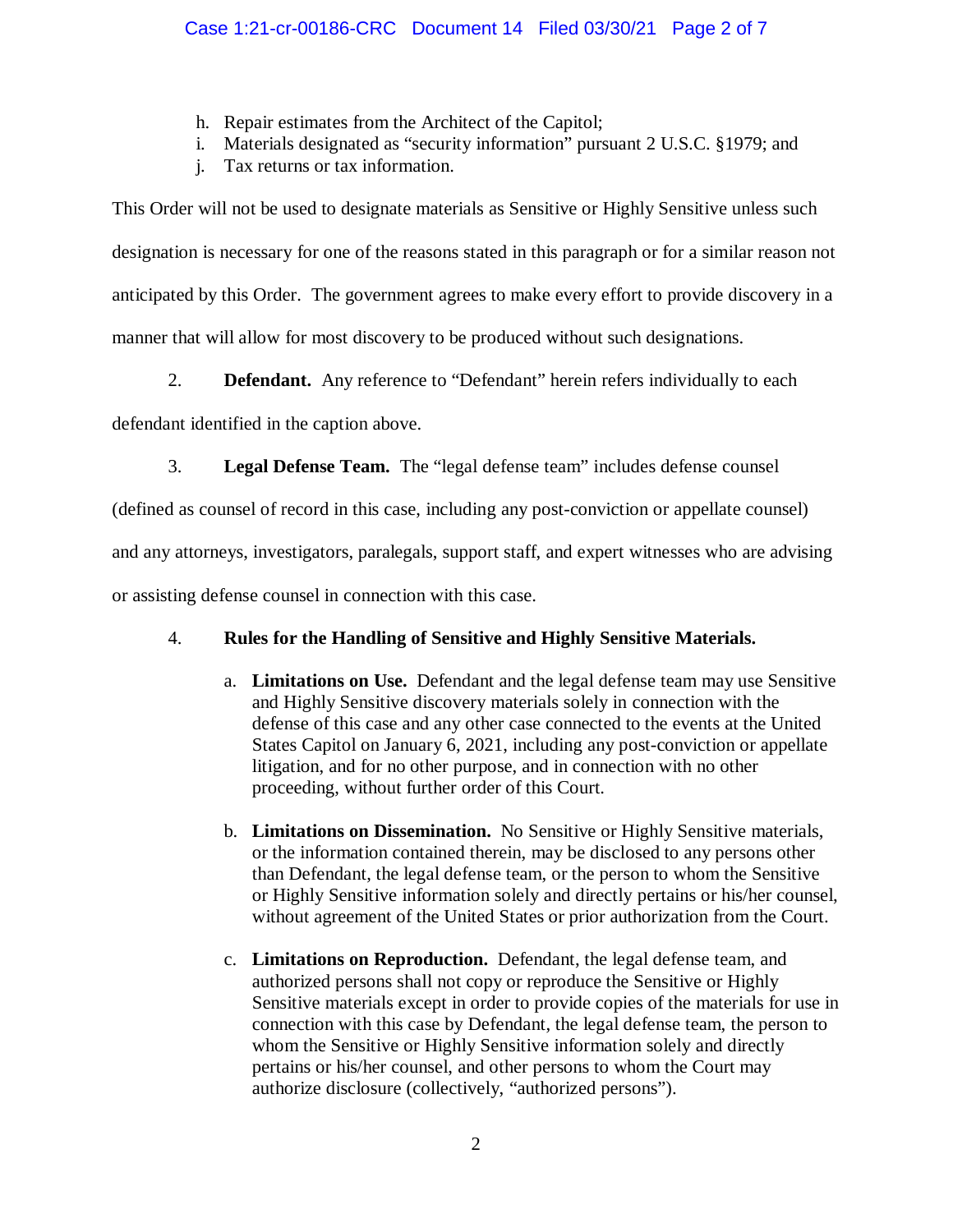- h. Repair estimates from the Architect of the Capitol;
- i. Materials designated as "security information" pursuant 2 U.S.C. §1979; and
- j. Tax returns or tax information.

This Order will not be used to designate materials as Sensitive or Highly Sensitive unless such designation is necessary for one of the reasons stated in this paragraph or for a similar reason not anticipated by this Order. The government agrees to make every effort to provide discovery in a manner that will allow for most discovery to be produced without such designations.

2. **Defendant.** Any reference to "Defendant" herein refers individually to each

defendant identified in the caption above.

3. **Legal Defense Team.** The "legal defense team" includes defense counsel

(defined as counsel of record in this case, including any post-conviction or appellate counsel)

and any attorneys, investigators, paralegals, support staff, and expert witnesses who are advising

or assisting defense counsel in connection with this case.

# 4. **Rules for the Handling of Sensitive and Highly Sensitive Materials.**

- a. **Limitations on Use.** Defendant and the legal defense team may use Sensitive and Highly Sensitive discovery materials solely in connection with the defense of this case and any other case connected to the events at the United States Capitol on January 6, 2021, including any post-conviction or appellate litigation, and for no other purpose, and in connection with no other proceeding, without further order of this Court.
- b. **Limitations on Dissemination.** No Sensitive or Highly Sensitive materials, or the information contained therein, may be disclosed to any persons other than Defendant, the legal defense team, or the person to whom the Sensitive or Highly Sensitive information solely and directly pertains or his/her counsel, without agreement of the United States or prior authorization from the Court.
- c. **Limitations on Reproduction.** Defendant, the legal defense team, and authorized persons shall not copy or reproduce the Sensitive or Highly Sensitive materials except in order to provide copies of the materials for use in connection with this case by Defendant, the legal defense team, the person to whom the Sensitive or Highly Sensitive information solely and directly pertains or his/her counsel, and other persons to whom the Court may authorize disclosure (collectively, "authorized persons").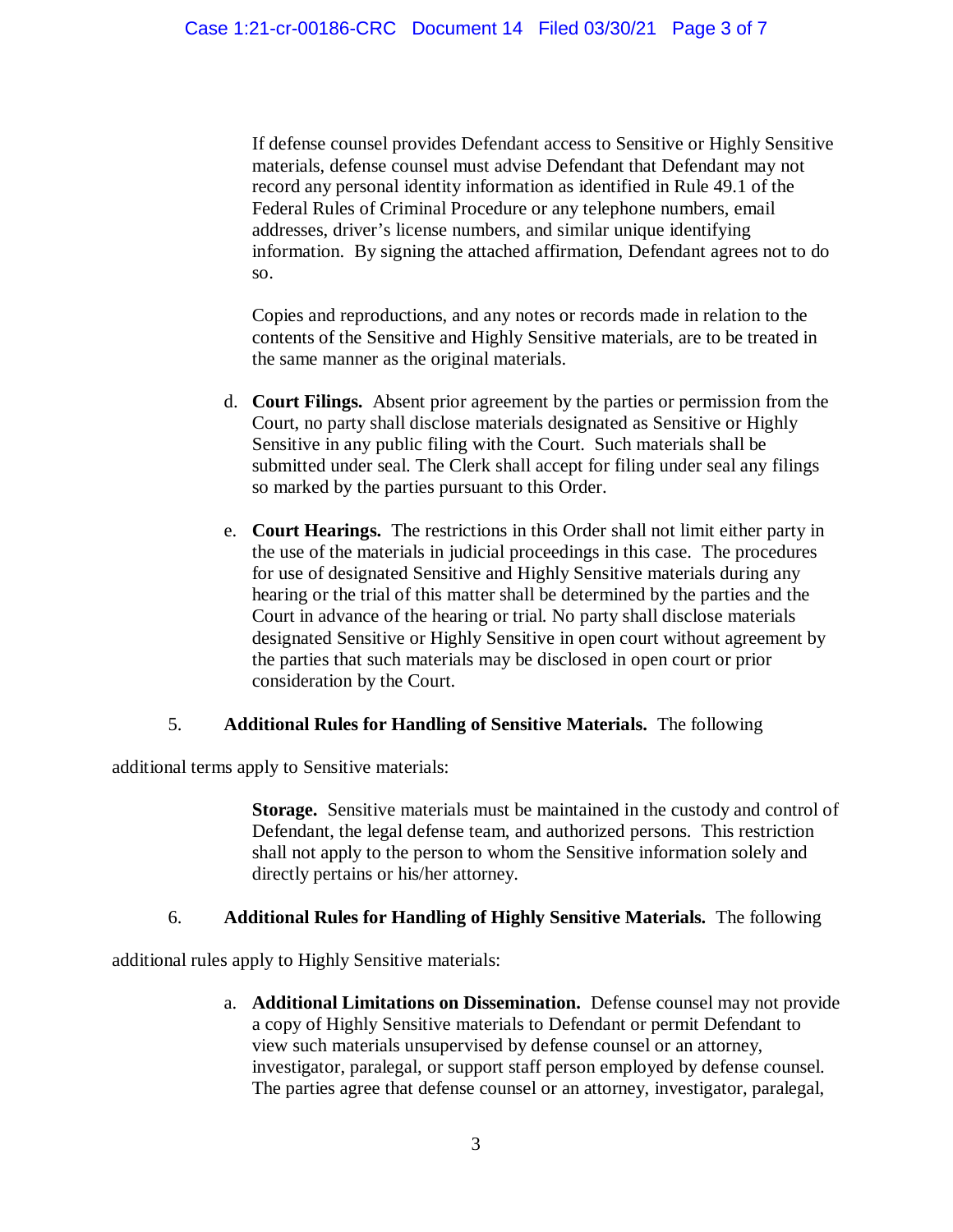If defense counsel provides Defendant access to Sensitive or Highly Sensitive materials, defense counsel must advise Defendant that Defendant may not record any personal identity information as identified in Rule 49.1 of the Federal Rules of Criminal Procedure or any telephone numbers, email addresses, driver's license numbers, and similar unique identifying information. By signing the attached affirmation, Defendant agrees not to do so.

Copies and reproductions, and any notes or records made in relation to the contents of the Sensitive and Highly Sensitive materials, are to be treated in the same manner as the original materials.

- d. **Court Filings.** Absent prior agreement by the parties or permission from the Court, no party shall disclose materials designated as Sensitive or Highly Sensitive in any public filing with the Court. Such materials shall be submitted under seal. The Clerk shall accept for filing under seal any filings so marked by the parties pursuant to this Order.
- e. **Court Hearings.** The restrictions in this Order shall not limit either party in the use of the materials in judicial proceedings in this case. The procedures for use of designated Sensitive and Highly Sensitive materials during any hearing or the trial of this matter shall be determined by the parties and the Court in advance of the hearing or trial. No party shall disclose materials designated Sensitive or Highly Sensitive in open court without agreement by the parties that such materials may be disclosed in open court or prior consideration by the Court.

## 5. **Additional Rules for Handling of Sensitive Materials.** The following

additional terms apply to Sensitive materials:

**Storage.** Sensitive materials must be maintained in the custody and control of Defendant, the legal defense team, and authorized persons. This restriction shall not apply to the person to whom the Sensitive information solely and directly pertains or his/her attorney.

## 6. **Additional Rules for Handling of Highly Sensitive Materials.** The following

additional rules apply to Highly Sensitive materials:

a. **Additional Limitations on Dissemination.** Defense counsel may not provide a copy of Highly Sensitive materials to Defendant or permit Defendant to view such materials unsupervised by defense counsel or an attorney, investigator, paralegal, or support staff person employed by defense counsel. The parties agree that defense counsel or an attorney, investigator, paralegal,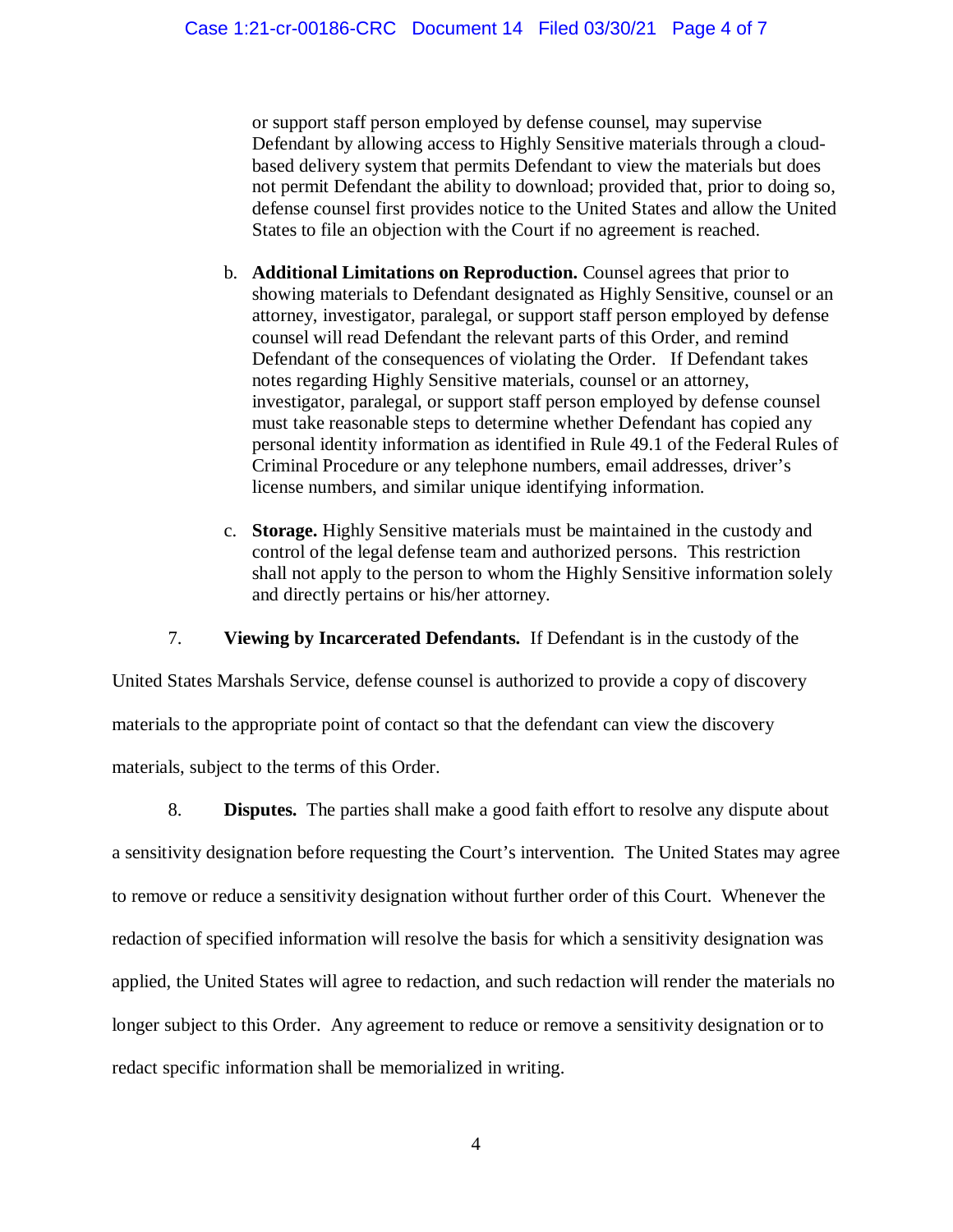or support staff person employed by defense counsel, may supervise Defendant by allowing access to Highly Sensitive materials through a cloudbased delivery system that permits Defendant to view the materials but does not permit Defendant the ability to download; provided that, prior to doing so, defense counsel first provides notice to the United States and allow the United States to file an objection with the Court if no agreement is reached.

- b. **Additional Limitations on Reproduction.** Counsel agrees that prior to showing materials to Defendant designated as Highly Sensitive, counsel or an attorney, investigator, paralegal, or support staff person employed by defense counsel will read Defendant the relevant parts of this Order, and remind Defendant of the consequences of violating the Order. If Defendant takes notes regarding Highly Sensitive materials, counsel or an attorney, investigator, paralegal, or support staff person employed by defense counsel must take reasonable steps to determine whether Defendant has copied any personal identity information as identified in Rule 49.1 of the Federal Rules of Criminal Procedure or any telephone numbers, email addresses, driver's license numbers, and similar unique identifying information.
- c. **Storage.** Highly Sensitive materials must be maintained in the custody and control of the legal defense team and authorized persons. This restriction shall not apply to the person to whom the Highly Sensitive information solely and directly pertains or his/her attorney.

7. **Viewing by Incarcerated Defendants.** If Defendant is in the custody of the

United States Marshals Service, defense counsel is authorized to provide a copy of discovery materials to the appropriate point of contact so that the defendant can view the discovery materials, subject to the terms of this Order.

8. **Disputes.** The parties shall make a good faith effort to resolve any dispute about a sensitivity designation before requesting the Court's intervention. The United States may agree to remove or reduce a sensitivity designation without further order of this Court. Whenever the redaction of specified information will resolve the basis for which a sensitivity designation was applied, the United States will agree to redaction, and such redaction will render the materials no longer subject to this Order. Any agreement to reduce or remove a sensitivity designation or to redact specific information shall be memorialized in writing.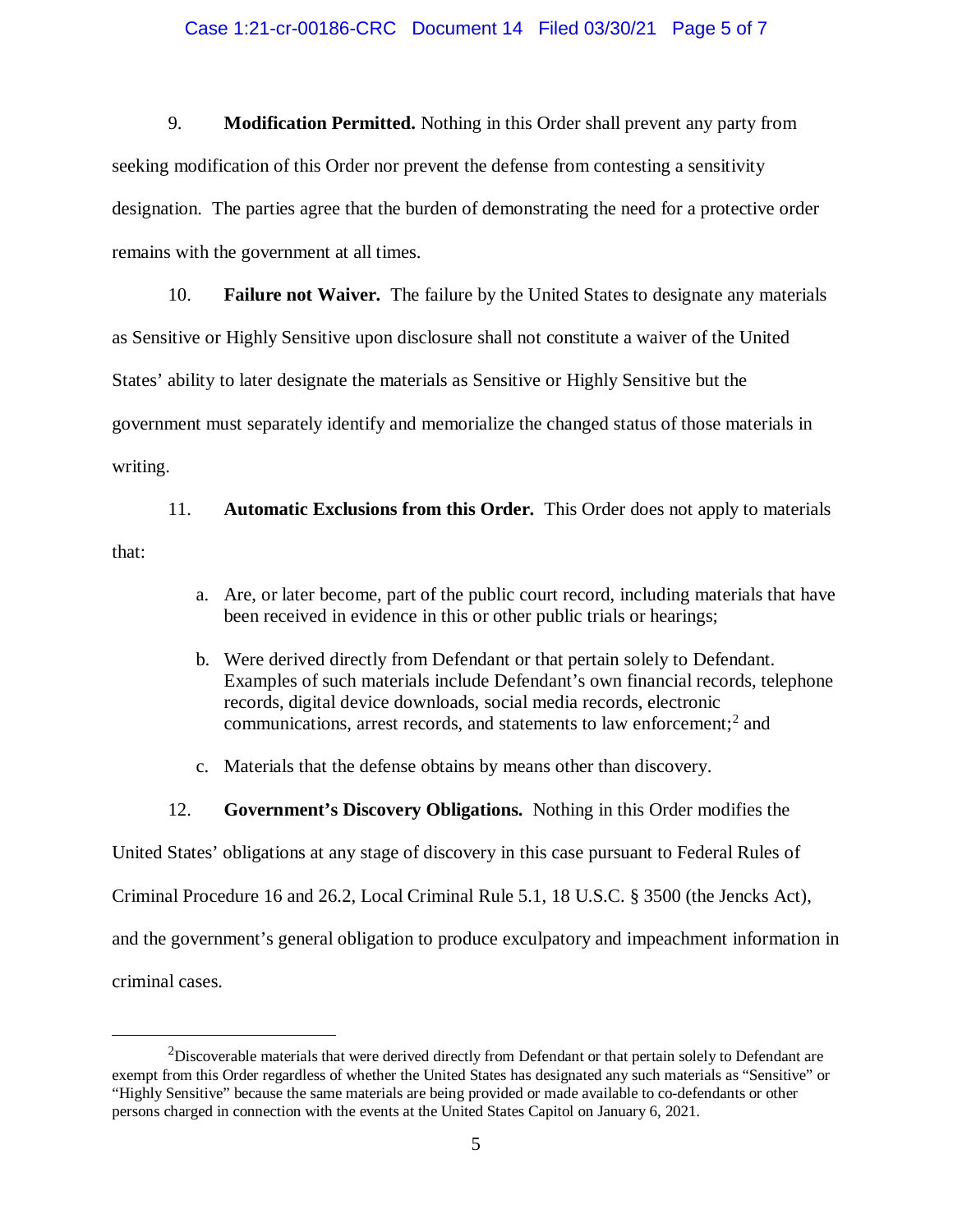#### Case 1:21-cr-00186-CRC Document 14 Filed 03/30/21 Page 5 of 7

9. **Modification Permitted.** Nothing in this Order shall prevent any party from seeking modification of this Order nor prevent the defense from contesting a sensitivity designation. The parties agree that the burden of demonstrating the need for a protective order remains with the government at all times.

10. **Failure not Waiver.** The failure by the United States to designate any materials as Sensitive or Highly Sensitive upon disclosure shall not constitute a waiver of the United States' ability to later designate the materials as Sensitive or Highly Sensitive but the government must separately identify and memorialize the changed status of those materials in writing.

11. **Automatic Exclusions from this Order.** This Order does not apply to materials that:

- a. Are, or later become, part of the public court record, including materials that have been received in evidence in this or other public trials or hearings;
- b. Were derived directly from Defendant or that pertain solely to Defendant. Examples of such materials include Defendant's own financial records, telephone records, digital device downloads, social media records, electronic communications, arrest records, and statements to law enforcement; <sup>2</sup> and
- c. Materials that the defense obtains by means other than discovery.
- 12. **Government's Discovery Obligations.** Nothing in this Order modifies the

United States' obligations at any stage of discovery in this case pursuant to Federal Rules of

Criminal Procedure 16 and 26.2, Local Criminal Rule 5.1, 18 U.S.C. § 3500 (the Jencks Act),

and the government's general obligation to produce exculpatory and impeachment information in

criminal cases.

 $2$ Discoverable materials that were derived directly from Defendant or that pertain solely to Defendant are exempt from this Order regardless of whether the United States has designated any such materials as "Sensitive" or "Highly Sensitive" because the same materials are being provided or made available to co-defendants or other persons charged in connection with the events at the United States Capitol on January 6, 2021.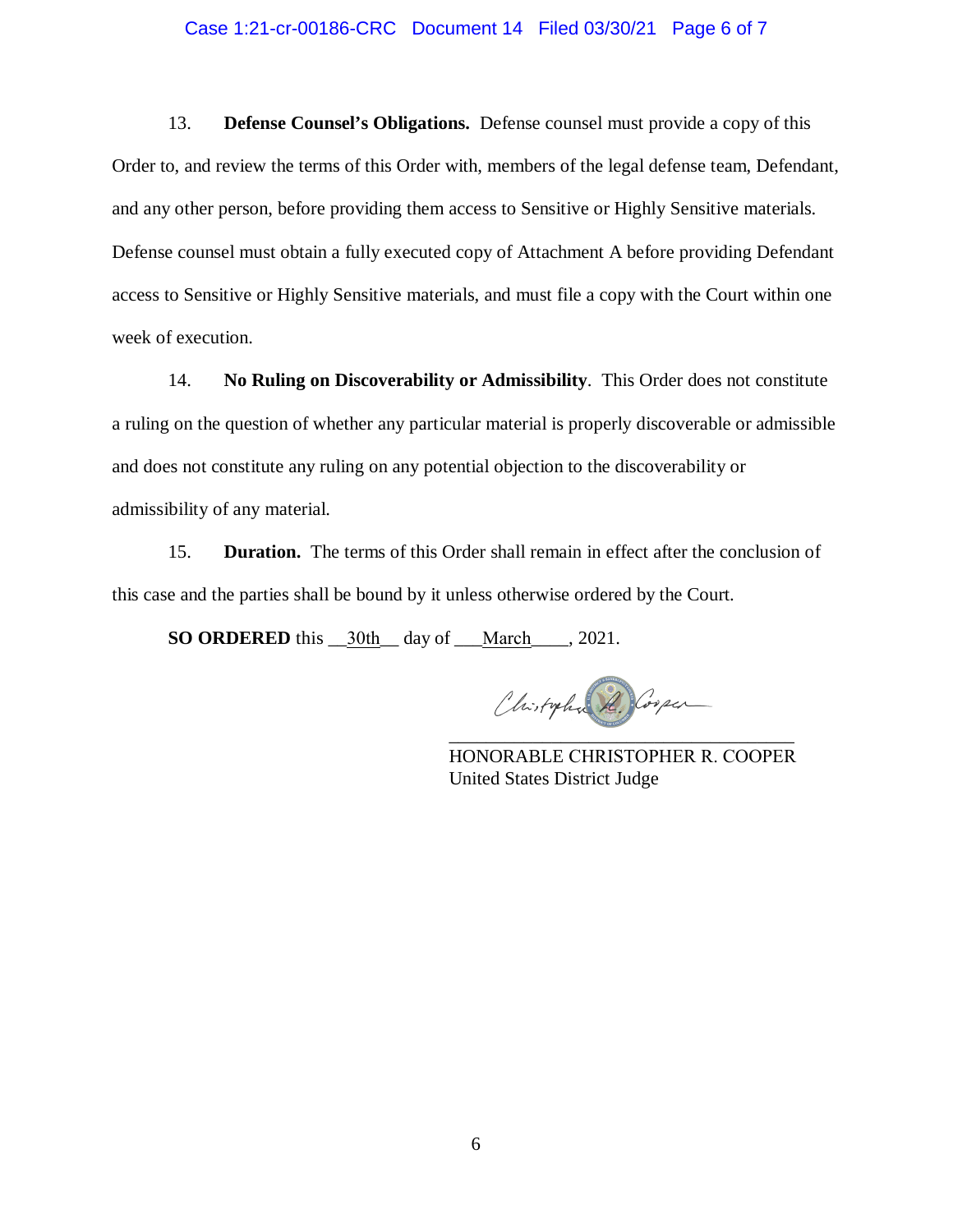#### Case 1:21-cr-00186-CRC Document 14 Filed 03/30/21 Page 6 of 7

13. **Defense Counsel's Obligations.** Defense counsel must provide a copy of this Order to, and review the terms of this Order with, members of the legal defense team, Defendant, and any other person, before providing them access to Sensitive or Highly Sensitive materials. Defense counsel must obtain a fully executed copy of Attachment A before providing Defendant access to Sensitive or Highly Sensitive materials, and must file a copy with the Court within one week of execution.

14. **No Ruling on Discoverability or Admissibility**. This Order does not constitute a ruling on the question of whether any particular material is properly discoverable or admissible and does not constitute any ruling on any potential objection to the discoverability or admissibility of any material.

15. **Duration.** The terms of this Order shall remain in effect after the conclusion of this case and the parties shall be bound by it unless otherwise ordered by the Court.

**SO ORDERED** this \_\_30th\_\_ day of \_\_\_March\_\_\_\_, 2021.

Chistopha R. Cooper \_\_\_\_\_\_\_\_\_\_\_\_\_\_\_\_\_\_\_\_\_\_\_\_\_\_\_\_\_\_\_\_\_\_\_\_\_

HONORABLE CHRISTOPHER R. COOPER United States District Judge